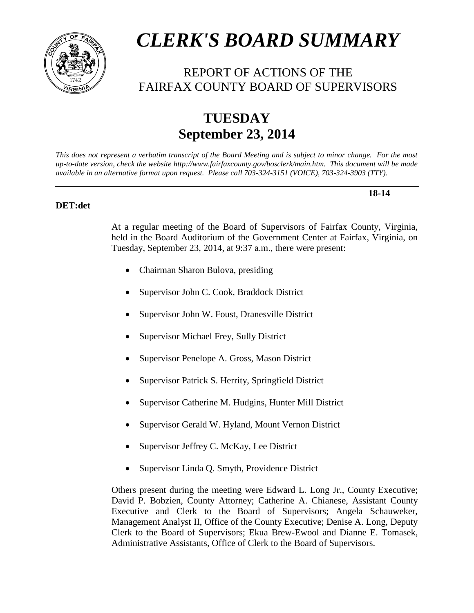

# *CLERK'S BOARD SUMMARY*

# REPORT OF ACTIONS OF THE FAIRFAX COUNTY BOARD OF SUPERVISORS

# **TUESDAY September 23, 2014**

*This does not represent a verbatim transcript of the Board Meeting and is subject to minor change. For the most up-to-date version, check the website http://www.fairfaxcounty.gov/bosclerk/main.htm. This document will be made available in an alternative format upon request. Please call 703-324-3151 (VOICE), 703-324-3903 (TTY).*

#### **DET:det**

At a regular meeting of the Board of Supervisors of Fairfax County, Virginia, held in the Board Auditorium of the Government Center at Fairfax, Virginia, on Tuesday, September 23, 2014, at 9:37 a.m., there were present:

**18-14**

- Chairman Sharon Bulova, presiding
- Supervisor John C. Cook, Braddock District
- Supervisor John W. Foust, Dranesville District
- Supervisor Michael Frey, Sully District
- Supervisor Penelope A. Gross, Mason District
- Supervisor Patrick S. Herrity, Springfield District
- Supervisor Catherine M. Hudgins, Hunter Mill District
- Supervisor Gerald W. Hyland, Mount Vernon District
- Supervisor Jeffrey C. McKay, Lee District
- Supervisor Linda Q. Smyth, Providence District

Others present during the meeting were Edward L. Long Jr., County Executive; David P. Bobzien, County Attorney; Catherine A. Chianese, Assistant County Executive and Clerk to the Board of Supervisors; Angela Schauweker, Management Analyst II, Office of the County Executive; Denise A. Long, Deputy Clerk to the Board of Supervisors; Ekua Brew-Ewool and Dianne E. Tomasek, Administrative Assistants, Office of Clerk to the Board of Supervisors.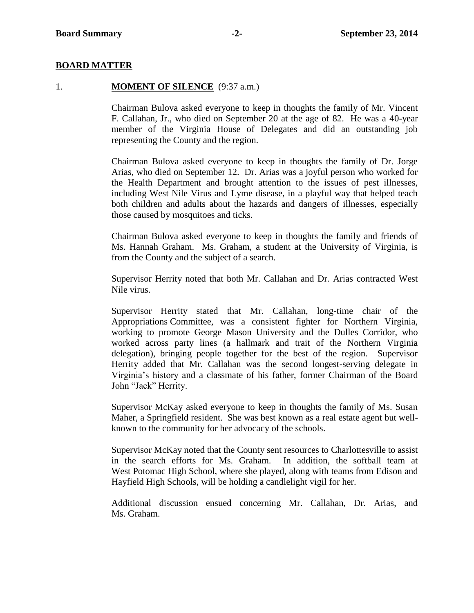#### **BOARD MATTER**

#### 1. **MOMENT OF SILENCE** (9:37 a.m.)

Chairman Bulova asked everyone to keep in thoughts the family of Mr. Vincent F. Callahan, Jr., who died on September 20 at the age of 82. He was a 40-year member of the Virginia House of Delegates and did an outstanding job representing the County and the region.

Chairman Bulova asked everyone to keep in thoughts the family of Dr. Jorge Arias, who died on September 12. Dr. Arias was a joyful person who worked for the Health Department and brought attention to the issues of pest illnesses, including West Nile Virus and Lyme disease, in a playful way that helped teach both children and adults about the hazards and dangers of illnesses, especially those caused by mosquitoes and ticks.

Chairman Bulova asked everyone to keep in thoughts the family and friends of Ms. Hannah Graham. Ms. Graham, a student at the University of Virginia, is from the County and the subject of a search.

Supervisor Herrity noted that both Mr. Callahan and Dr. Arias contracted West Nile virus.

Supervisor Herrity stated that Mr. Callahan, long-time chair of the Appropriations Committee, was a consistent fighter for Northern Virginia, working to promote George Mason University and the Dulles Corridor, who worked across party lines (a hallmark and trait of the Northern Virginia delegation), bringing people together for the best of the region. Supervisor Herrity added that Mr. Callahan was the second longest-serving delegate in Virginia's history and a classmate of his father, former Chairman of the Board John "Jack" Herrity.

Supervisor McKay asked everyone to keep in thoughts the family of Ms. Susan Maher, a Springfield resident. She was best known as a real estate agent but wellknown to the community for her advocacy of the schools.

Supervisor McKay noted that the County sent resources to Charlottesville to assist in the search efforts for Ms. Graham. In addition, the softball team at West Potomac High School, where she played, along with teams from Edison and Hayfield High Schools, will be holding a candlelight vigil for her.

Additional discussion ensued concerning Mr. Callahan, Dr. Arias, and Ms. Graham.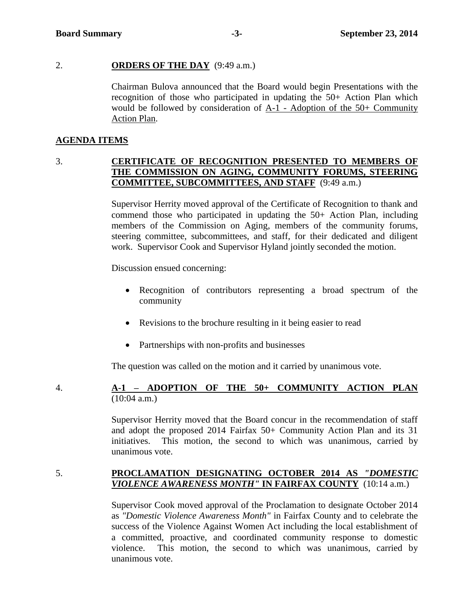#### 2. **ORDERS OF THE DAY** (9:49 a.m.)

Chairman Bulova announced that the Board would begin Presentations with the recognition of those who participated in updating the 50+ Action Plan which would be followed by consideration of A-1 - Adoption of the 50+ Community Action Plan.

#### **AGENDA ITEMS**

# 3. **CERTIFICATE OF RECOGNITION PRESENTED TO MEMBERS OF THE COMMISSION ON AGING, COMMUNITY FORUMS, STEERING COMMITTEE, SUBCOMMITTEES, AND STAFF** (9:49 a.m.)

Supervisor Herrity moved approval of the Certificate of Recognition to thank and commend those who participated in updating the 50+ Action Plan, including members of the Commission on Aging, members of the community forums, steering committee, subcommittees, and staff, for their dedicated and diligent work. Supervisor Cook and Supervisor Hyland jointly seconded the motion.

Discussion ensued concerning:

- Recognition of contributors representing a broad spectrum of the community
- Revisions to the brochure resulting in it being easier to read
- Partnerships with non-profits and businesses

The question was called on the motion and it carried by unanimous vote.

# 4. **A-1 – ADOPTION OF THE 50+ COMMUNITY ACTION PLAN** (10:04 a.m.)

Supervisor Herrity moved that the Board concur in the recommendation of staff and adopt the proposed 2014 Fairfax 50+ Community Action Plan and its 31 initiatives. This motion, the second to which was unanimous, carried by unanimous vote.

# 5. **PROCLAMATION DESIGNATING OCTOBER 2014 AS** *"DOMESTIC VIOLENCE AWARENESS MONTH"* **IN FAIRFAX COUNTY** (10:14 a.m.)

Supervisor Cook moved approval of the Proclamation to designate October 2014 as *"Domestic Violence Awareness Month"* in Fairfax County and to celebrate the success of the Violence Against Women Act including the local establishment of a committed, proactive, and coordinated community response to domestic violence. This motion, the second to which was unanimous, carried by unanimous vote.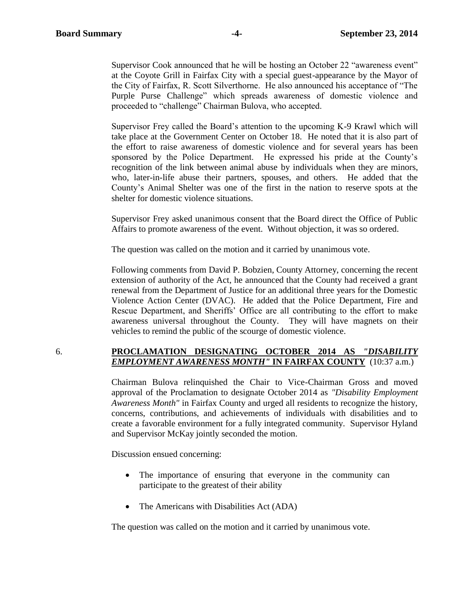Supervisor Cook announced that he will be hosting an October 22 "awareness event" at the Coyote Grill in Fairfax City with a special guest-appearance by the Mayor of the City of Fairfax, R. Scott Silverthorne. He also announced his acceptance of "The Purple Purse Challenge" which spreads awareness of domestic violence and proceeded to "challenge" Chairman Bulova, who accepted.

Supervisor Frey called the Board's attention to the upcoming K-9 Krawl which will take place at the Government Center on October 18. He noted that it is also part of the effort to raise awareness of domestic violence and for several years has been sponsored by the Police Department. He expressed his pride at the County's recognition of the link between animal abuse by individuals when they are minors, who, later-in-life abuse their partners, spouses, and others. He added that the County's Animal Shelter was one of the first in the nation to reserve spots at the shelter for domestic violence situations.

Supervisor Frey asked unanimous consent that the Board direct the Office of Public Affairs to promote awareness of the event. Without objection, it was so ordered.

The question was called on the motion and it carried by unanimous vote.

Following comments from David P. Bobzien, County Attorney, concerning the recent extension of authority of the Act, he announced that the County had received a grant renewal from the Department of Justice for an additional three years for the Domestic Violence Action Center (DVAC). He added that the Police Department, Fire and Rescue Department, and Sheriffs' Office are all contributing to the effort to make awareness universal throughout the County. They will have magnets on their vehicles to remind the public of the scourge of domestic violence.

#### 6. **PROCLAMATION DESIGNATING OCTOBER 2014 AS** *"DISABILITY EMPLOYMENT AWARENESS MONTH"* **IN FAIRFAX COUNTY** (10:37 a.m.)

Chairman Bulova relinquished the Chair to Vice-Chairman Gross and moved approval of the Proclamation to designate October 2014 as *"Disability Employment Awareness Month"* in Fairfax County and urged all residents to recognize the history, concerns, contributions, and achievements of individuals with disabilities and to create a favorable environment for a fully integrated community. Supervisor Hyland and Supervisor McKay jointly seconded the motion.

Discussion ensued concerning:

- The importance of ensuring that everyone in the community can participate to the greatest of their ability
- The Americans with Disabilities Act (ADA)

The question was called on the motion and it carried by unanimous vote.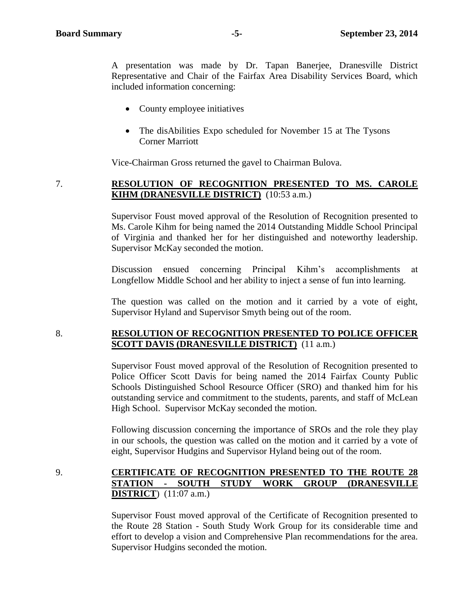A presentation was made by Dr. Tapan Banerjee, Dranesville District Representative and Chair of the Fairfax Area Disability Services Board, which included information concerning:

- County employee initiatives
- The disAbilities Expo scheduled for November 15 at The Tysons Corner Marriott

Vice-Chairman Gross returned the gavel to Chairman Bulova.

# 7. **RESOLUTION OF RECOGNITION PRESENTED TO MS. CAROLE KIHM (DRANESVILLE DISTRICT)** (10:53 a.m.)

Supervisor Foust moved approval of the Resolution of Recognition presented to Ms. Carole Kihm for being named the 2014 Outstanding Middle School Principal of Virginia and thanked her for her distinguished and noteworthy leadership. Supervisor McKay seconded the motion.

Discussion ensued concerning Principal Kihm's accomplishments at Longfellow Middle School and her ability to inject a sense of fun into learning.

The question was called on the motion and it carried by a vote of eight, Supervisor Hyland and Supervisor Smyth being out of the room.

#### 8. **RESOLUTION OF RECOGNITION PRESENTED TO POLICE OFFICER SCOTT DAVIS (DRANESVILLE DISTRICT)** (11 a.m.)

Supervisor Foust moved approval of the Resolution of Recognition presented to Police Officer Scott Davis for being named the 2014 Fairfax County Public Schools Distinguished School Resource Officer (SRO) and thanked him for his outstanding service and commitment to the students, parents, and staff of McLean High School. Supervisor McKay seconded the motion.

Following discussion concerning the importance of SROs and the role they play in our schools, the question was called on the motion and it carried by a vote of eight, Supervisor Hudgins and Supervisor Hyland being out of the room.

# 9. **CERTIFICATE OF RECOGNITION PRESENTED TO THE ROUTE 28 STATION - SOUTH STUDY WORK GROUP (DRANESVILLE DISTRICT**) (11:07 a.m.)

Supervisor Foust moved approval of the Certificate of Recognition presented to the Route 28 Station - South Study Work Group for its considerable time and effort to develop a vision and Comprehensive Plan recommendations for the area. Supervisor Hudgins seconded the motion.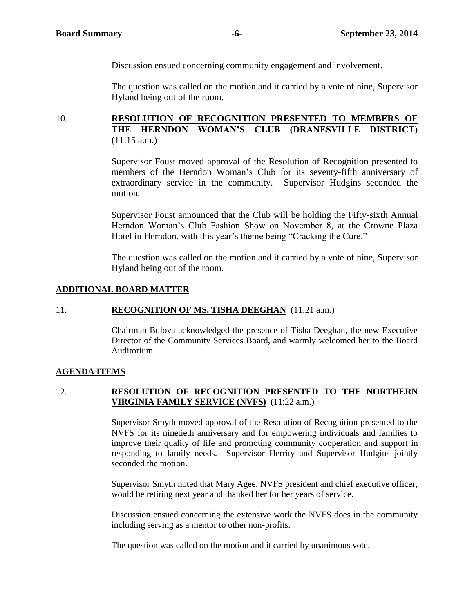Discussion ensued concerning community engagement and involvement.

The question was called on the motion and it carried by a vote of nine, Supervisor Hyland being out of the room.

# 10. **RESOLUTION OF RECOGNITION PRESENTED TO MEMBERS OF THE HERNDON WOMAN'S CLUB (DRANESVILLE DISTRICT)** (11:15 a.m.)

Supervisor Foust moved approval of the Resolution of Recognition presented to members of the Herndon Woman's Club for its seventy-fifth anniversary of extraordinary service in the community. Supervisor Hudgins seconded the motion.

Supervisor Foust announced that the Club will be holding the Fifty-sixth Annual Herndon Woman's Club Fashion Show on November 8, at the Crowne Plaza Hotel in Herndon, with this year's theme being "Cracking the Cure."

The question was called on the motion and it carried by a vote of nine, Supervisor Hyland being out of the room.

#### **ADDITIONAL BOARD MATTER**

#### 11. **RECOGNITION OF MS. TISHA DEEGHAN** (11:21 a.m.)

Chairman Bulova acknowledged the presence of Tisha Deeghan, the new Executive Director of the Community Services Board, and warmly welcomed her to the Board Auditorium.

#### **AGENDA ITEMS**

#### 12. **RESOLUTION OF RECOGNITION PRESENTED TO THE NORTHERN VIRGINIA FAMILY SERVICE (NVFS)** (11:22 a.m.)

Supervisor Smyth moved approval of the Resolution of Recognition presented to the NVFS for its ninetieth anniversary and for empowering individuals and families to improve their quality of life and promoting community cooperation and support in responding to family needs. Supervisor Herrity and Supervisor Hudgins jointly seconded the motion.

Supervisor Smyth noted that Mary Agee, NVFS president and chief executive officer, would be retiring next year and thanked her for her years of service.

Discussion ensued concerning the extensive work the NVFS does in the community including serving as a mentor to other non-profits.

The question was called on the motion and it carried by unanimous vote.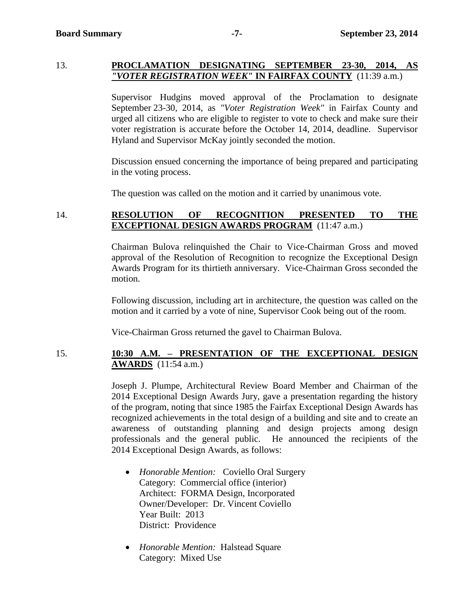#### 13. **PROCLAMATION DESIGNATING SEPTEMBER 23-30, 2014, AS**  *"VOTER REGISTRATION WEEK"* **IN FAIRFAX COUNTY** (11:39 a.m.)

Supervisor Hudgins moved approval of the Proclamation to designate September 23-30, 2014, as *"Voter Registration Week"* in Fairfax County and urged all citizens who are eligible to register to vote to check and make sure their voter registration is accurate before the October 14, 2014, deadline. Supervisor Hyland and Supervisor McKay jointly seconded the motion.

Discussion ensued concerning the importance of being prepared and participating in the voting process.

The question was called on the motion and it carried by unanimous vote.

# 14. **RESOLUTION OF RECOGNITION PRESENTED TO THE EXCEPTIONAL DESIGN AWARDS PROGRAM** (11:47 a.m.)

Chairman Bulova relinquished the Chair to Vice-Chairman Gross and moved approval of the Resolution of Recognition to recognize the Exceptional Design Awards Program for its thirtieth anniversary. Vice-Chairman Gross seconded the motion.

Following discussion, including art in architecture, the question was called on the motion and it carried by a vote of nine, Supervisor Cook being out of the room.

Vice-Chairman Gross returned the gavel to Chairman Bulova.

# 15. **10:30 A.M. – PRESENTATION OF THE EXCEPTIONAL DESIGN AWARDS** (11:54 a.m.)

Joseph J. Plumpe, Architectural Review Board Member and Chairman of the 2014 Exceptional Design Awards Jury, gave a presentation regarding the history of the program, noting that since 1985 the Fairfax Exceptional Design Awards has recognized achievements in the total design of a building and site and to create an awareness of outstanding planning and design projects among design professionals and the general public. He announced the recipients of the 2014 Exceptional Design Awards, as follows:

- *Honorable Mention:* Coviello Oral Surgery Category: Commercial office (interior) Architect: FORMA Design, Incorporated Owner/Developer: Dr. Vincent Coviello Year Built: 2013 District: Providence
- *Honorable Mention:* Halstead Square Category: Mixed Use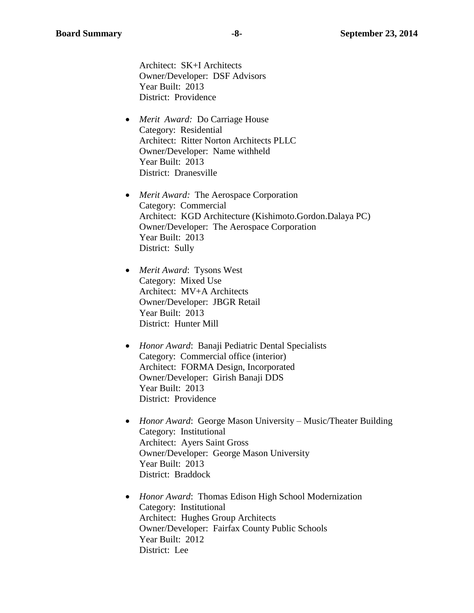Architect: SK+I Architects Owner/Developer: DSF Advisors Year Built: 2013 District: Providence

- *Merit Award:* Do Carriage House Category: Residential Architect: Ritter Norton Architects PLLC Owner/Developer: Name withheld Year Built: 2013 District: Dranesville
- *Merit Award:* The Aerospace Corporation Category: Commercial Architect: KGD Architecture (Kishimoto.Gordon.Dalaya PC) Owner/Developer: The Aerospace Corporation Year Built: 2013 District: Sully
- *Merit Award*: Tysons West Category: Mixed Use Architect: MV+A Architects Owner/Developer: JBGR Retail Year Built: 2013 District: Hunter Mill
- *Honor Award*: Banaji Pediatric Dental Specialists Category: Commercial office (interior) Architect: FORMA Design, Incorporated Owner/Developer: Girish Banaji DDS Year Built: 2013 District: Providence
- *Honor Award*: George Mason University Music/Theater Building Category: Institutional Architect: Ayers Saint Gross Owner/Developer: George Mason University Year Built: 2013 District: Braddock
- *Honor Award*: Thomas Edison High School Modernization Category: Institutional Architect: Hughes Group Architects Owner/Developer: Fairfax County Public Schools Year Built: 2012 District: Lee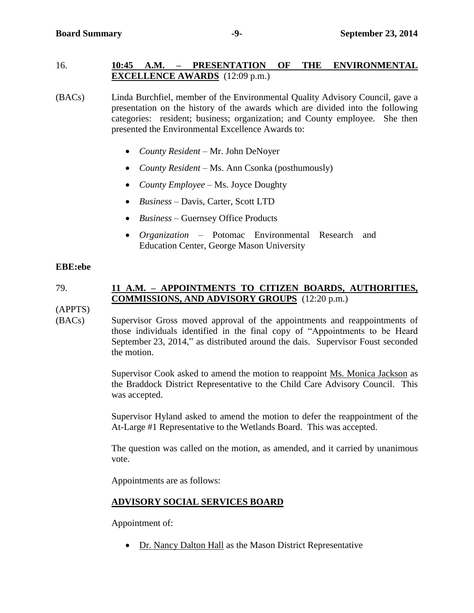# 16. **10:45 A.M. – PRESENTATION OF THE ENVIRONMENTAL EXCELLENCE AWARDS** (12:09 p.m.)

(BACs) Linda Burchfiel, member of the Environmental Quality Advisory Council, gave a presentation on the history of the awards which are divided into the following categories: resident; business; organization; and County employee. She then presented the Environmental Excellence Awards to:

- *County Resident* Mr. John DeNoyer
- *County Resident* Ms. Ann Csonka (posthumously)
- *County Employee* Ms. Joyce Doughty
- *Business* Davis, Carter, Scott LTD
- *Business –* Guernsey Office Products
- *Organization* Potomac Environmental Research and Education Center, George Mason University

#### **EBE:ebe**

# 79. **11 A.M. – APPOINTMENTS TO CITIZEN BOARDS, AUTHORITIES, COMMISSIONS, AND ADVISORY GROUPS** (12:20 p.m.)

(APPTS)

(BACs) Supervisor Gross moved approval of the appointments and reappointments of those individuals identified in the final copy of "Appointments to be Heard September 23, 2014," as distributed around the dais. Supervisor Foust seconded the motion.

> Supervisor Cook asked to amend the motion to reappoint Ms. Monica Jackson as the Braddock District Representative to the Child Care Advisory Council. This was accepted.

> Supervisor Hyland asked to amend the motion to defer the reappointment of the At-Large #1 Representative to the Wetlands Board. This was accepted.

> The question was called on the motion, as amended, and it carried by unanimous vote.

Appointments are as follows:

# **ADVISORY SOCIAL SERVICES BOARD**

Appointment of:

Dr. Nancy Dalton Hall as the Mason District Representative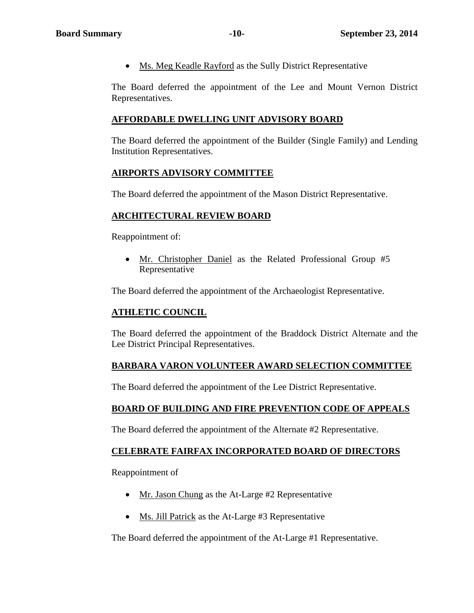Ms. Meg Keadle Rayford as the Sully District Representative

The Board deferred the appointment of the Lee and Mount Vernon District Representatives.

# **AFFORDABLE DWELLING UNIT ADVISORY BOARD**

The Board deferred the appointment of the Builder (Single Family) and Lending Institution Representatives.

# **AIRPORTS ADVISORY COMMITTEE**

The Board deferred the appointment of the Mason District Representative.

# **ARCHITECTURAL REVIEW BOARD**

Reappointment of:

 Mr. Christopher Daniel as the Related Professional Group #5 Representative

The Board deferred the appointment of the Archaeologist Representative.

#### **ATHLETIC COUNCIL**

The Board deferred the appointment of the Braddock District Alternate and the Lee District Principal Representatives.

# **BARBARA VARON VOLUNTEER AWARD SELECTION COMMITTEE**

The Board deferred the appointment of the Lee District Representative.

# **BOARD OF BUILDING AND FIRE PREVENTION CODE OF APPEALS**

The Board deferred the appointment of the Alternate #2 Representative.

#### **CELEBRATE FAIRFAX INCORPORATED BOARD OF DIRECTORS**

Reappointment of

- Mr. Jason Chung as the At-Large #2 Representative
- Ms. Jill Patrick as the At-Large #3 Representative

The Board deferred the appointment of the At-Large #1 Representative.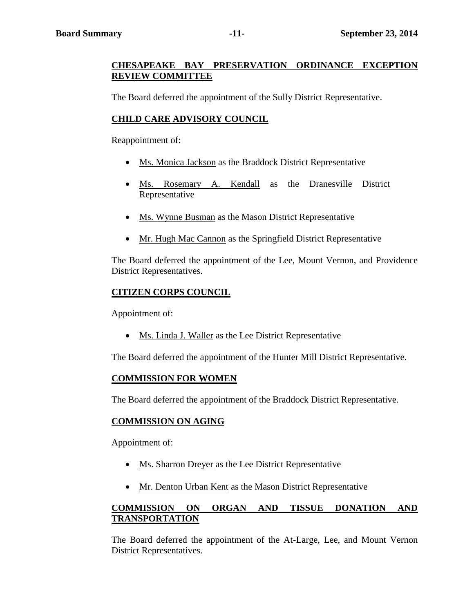# **CHESAPEAKE BAY PRESERVATION ORDINANCE EXCEPTION REVIEW COMMITTEE**

The Board deferred the appointment of the Sully District Representative.

# **CHILD CARE ADVISORY COUNCIL**

Reappointment of:

- Ms. Monica Jackson as the Braddock District Representative
- Ms. Rosemary A. Kendall as the Dranesville District Representative
- Ms. Wynne Busman as the Mason District Representative
- Mr. Hugh Mac Cannon as the Springfield District Representative

The Board deferred the appointment of the Lee, Mount Vernon, and Providence District Representatives.

# **CITIZEN CORPS COUNCIL**

Appointment of:

Ms. Linda J. Waller as the Lee District Representative

The Board deferred the appointment of the Hunter Mill District Representative.

# **COMMISSION FOR WOMEN**

The Board deferred the appointment of the Braddock District Representative.

# **COMMISSION ON AGING**

Appointment of:

- Ms. Sharron Dreyer as the Lee District Representative
- Mr. Denton Urban Kent as the Mason District Representative

# **COMMISSION ON ORGAN AND TISSUE DONATION AND TRANSPORTATION**

The Board deferred the appointment of the At-Large, Lee, and Mount Vernon District Representatives.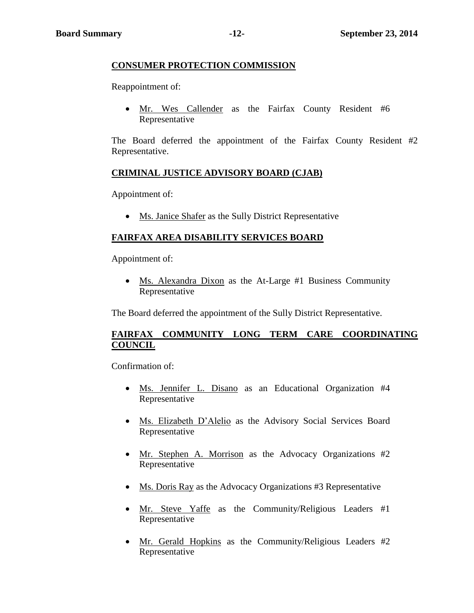# **CONSUMER PROTECTION COMMISSION**

Reappointment of:

• Mr. Wes Callender as the Fairfax County Resident #6 Representative

The Board deferred the appointment of the Fairfax County Resident #2 Representative.

# **CRIMINAL JUSTICE ADVISORY BOARD (CJAB)**

Appointment of:

• Ms. Janice Shafer as the Sully District Representative

# **FAIRFAX AREA DISABILITY SERVICES BOARD**

Appointment of:

 Ms. Alexandra Dixon as the At-Large #1 Business Community Representative

The Board deferred the appointment of the Sully District Representative.

# **FAIRFAX COMMUNITY LONG TERM CARE COORDINATING COUNCIL**

Confirmation of:

- Ms. Jennifer L. Disano as an Educational Organization #4 Representative
- Ms. Elizabeth D'Alelio as the Advisory Social Services Board Representative
- Mr. Stephen A. Morrison as the Advocacy Organizations #2 Representative
- Ms. Doris Ray as the Advocacy Organizations #3 Representative
- Mr. Steve Yaffe as the Community/Religious Leaders #1 Representative
- Mr. Gerald Hopkins as the Community/Religious Leaders #2 Representative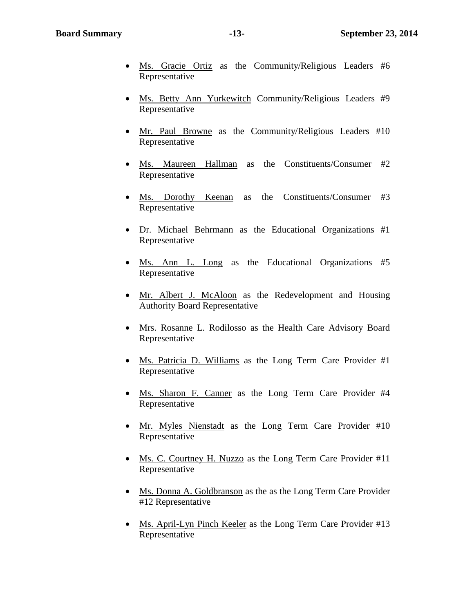- Ms. Gracie Ortiz as the Community/Religious Leaders #6 Representative
- Ms. Betty Ann Yurkewitch Community/Religious Leaders #9 Representative
- Mr. Paul Browne as the Community/Religious Leaders #10 Representative
- Ms. Maureen Hallman as the Constituents/Consumer #2 Representative
- Ms. Dorothy Keenan as the Constituents/Consumer #3 Representative
- Dr. Michael Behrmann as the Educational Organizations #1 Representative
- Ms. Ann L. Long as the Educational Organizations #5 Representative
- Mr. Albert J. McAloon as the Redevelopment and Housing Authority Board Representative
- Mrs. Rosanne L. Rodilosso as the Health Care Advisory Board Representative
- Ms. Patricia D. Williams as the Long Term Care Provider #1 Representative
- Ms. Sharon F. Canner as the Long Term Care Provider #4 Representative
- Mr. Myles Nienstadt as the Long Term Care Provider #10 Representative
- Ms. C. Courtney H. Nuzzo as the Long Term Care Provider #11 Representative
- Ms. Donna A. Goldbranson as the as the Long Term Care Provider #12 Representative
- Ms. April-Lyn Pinch Keeler as the Long Term Care Provider #13 Representative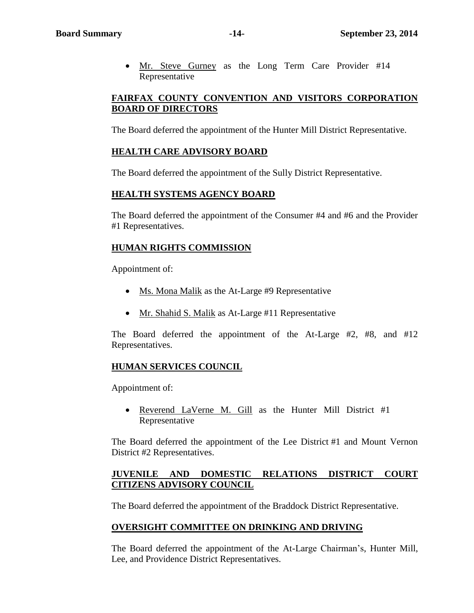• Mr. Steve Gurney as the Long Term Care Provider #14 Representative

# **FAIRFAX COUNTY CONVENTION AND VISITORS CORPORATION BOARD OF DIRECTORS**

The Board deferred the appointment of the Hunter Mill District Representative.

# **HEALTH CARE ADVISORY BOARD**

The Board deferred the appointment of the Sully District Representative.

# **HEALTH SYSTEMS AGENCY BOARD**

The Board deferred the appointment of the Consumer #4 and #6 and the Provider #1 Representatives.

# **HUMAN RIGHTS COMMISSION**

Appointment of:

- Ms. Mona Malik as the At-Large #9 Representative
- Mr. Shahid S. Malik as At-Large #11 Representative

The Board deferred the appointment of the At-Large #2, #8, and #12 Representatives.

# **HUMAN SERVICES COUNCIL**

Appointment of:

• Reverend LaVerne M. Gill as the Hunter Mill District #1 Representative

The Board deferred the appointment of the Lee District #1 and Mount Vernon District #2 Representatives.

# **JUVENILE AND DOMESTIC RELATIONS DISTRICT COURT CITIZENS ADVISORY COUNCIL**

The Board deferred the appointment of the Braddock District Representative.

# **OVERSIGHT COMMITTEE ON DRINKING AND DRIVING**

The Board deferred the appointment of the At-Large Chairman's, Hunter Mill, Lee, and Providence District Representatives.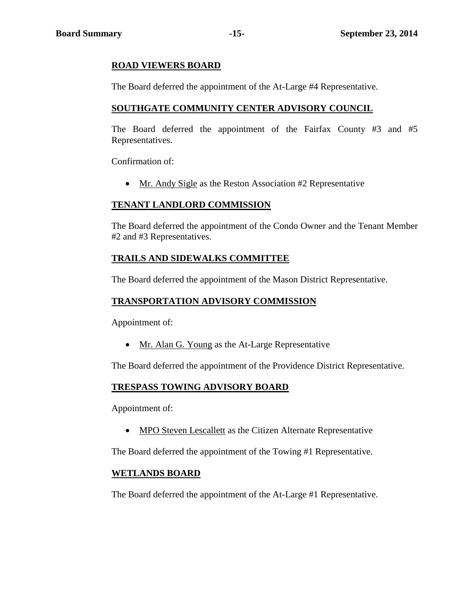# **ROAD VIEWERS BOARD**

The Board deferred the appointment of the At-Large #4 Representative.

# **SOUTHGATE COMMUNITY CENTER ADVISORY COUNCIL**

The Board deferred the appointment of the Fairfax County #3 and #5 Representatives.

Confirmation of:

• Mr. Andy Sigle as the Reston Association #2 Representative

#### **TENANT LANDLORD COMMISSION**

The Board deferred the appointment of the Condo Owner and the Tenant Member #2 and #3 Representatives.

# **TRAILS AND SIDEWALKS COMMITTEE**

The Board deferred the appointment of the Mason District Representative.

#### **TRANSPORTATION ADVISORY COMMISSION**

Appointment of:

• Mr. Alan G. Young as the At-Large Representative

The Board deferred the appointment of the Providence District Representative.

#### **TRESPASS TOWING ADVISORY BOARD**

Appointment of:

• MPO Steven Lescallett as the Citizen Alternate Representative

The Board deferred the appointment of the Towing #1 Representative.

#### **WETLANDS BOARD**

The Board deferred the appointment of the At-Large #1 Representative.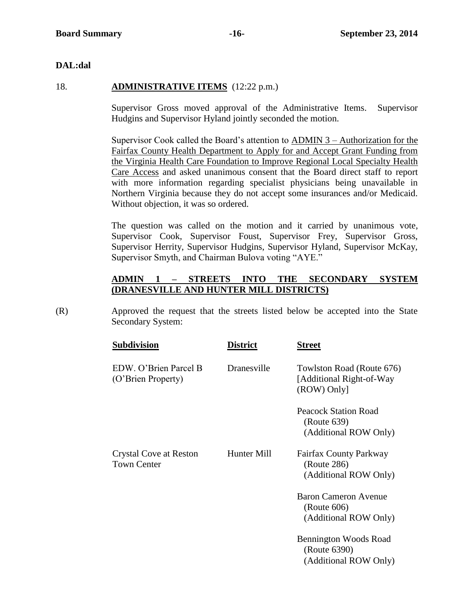# **DAL:dal**

# 18. **ADMINISTRATIVE ITEMS** (12:22 p.m.)

Supervisor Gross moved approval of the Administrative Items. Supervisor Hudgins and Supervisor Hyland jointly seconded the motion.

Supervisor Cook called the Board's attention to ADMIN 3 – Authorization for the Fairfax County Health Department to Apply for and Accept Grant Funding from the Virginia Health Care Foundation to Improve Regional Local Specialty Health Care Access and asked unanimous consent that the Board direct staff to report with more information regarding specialist physicians being unavailable in Northern Virginia because they do not accept some insurances and/or Medicaid. Without objection, it was so ordered.

The question was called on the motion and it carried by unanimous vote, Supervisor Cook, Supervisor Foust, Supervisor Frey, Supervisor Gross, Supervisor Herrity, Supervisor Hudgins, Supervisor Hyland, Supervisor McKay, Supervisor Smyth, and Chairman Bulova voting "AYE."

# **ADMIN 1 – STREETS INTO THE SECONDARY SYSTEM (DRANESVILLE AND HUNTER MILL DISTRICTS)**

(R) Approved the request that the streets listed below be accepted into the State Secondary System:

| <b>District</b> | Street                                                                |
|-----------------|-----------------------------------------------------------------------|
| Dranesville     | Towlston Road (Route 676)<br>[Additional Right-of-Way]<br>(ROW) Only] |
|                 | <b>Peacock Station Road</b><br>(Route 639)<br>(Additional ROW Only)   |
| Hunter Mill     | <b>Fairfax County Parkway</b><br>(Route 286)<br>(Additional ROW Only) |
|                 | <b>Baron Cameron Avenue</b><br>(Route 606)<br>(Additional ROW Only)   |
|                 | Bennington Woods Road<br>(Route 6390)<br>(Additional ROW Only)        |
|                 |                                                                       |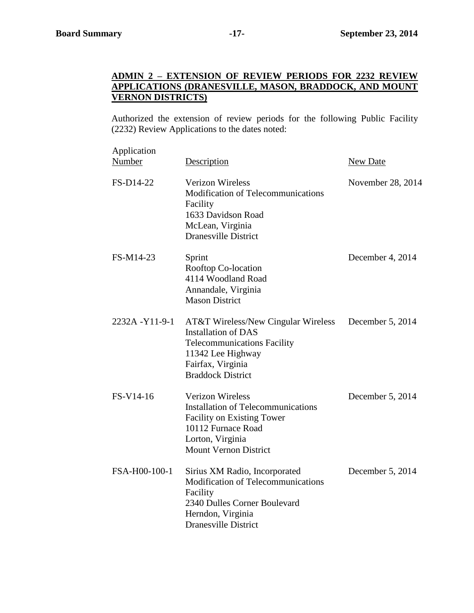# **ADMIN 2 – EXTENSION OF REVIEW PERIODS FOR 2232 REVIEW APPLICATIONS (DRANESVILLE, MASON, BRADDOCK, AND MOUNT VERNON DISTRICTS)**

Authorized the extension of review periods for the following Public Facility (2232) Review Applications to the dates noted:

| Application<br>Number | Description                                                                                                                                                                              | New Date          |
|-----------------------|------------------------------------------------------------------------------------------------------------------------------------------------------------------------------------------|-------------------|
| FS-D14-22             | <b>Verizon Wireless</b><br><b>Modification of Telecommunications</b><br>Facility<br>1633 Davidson Road<br>McLean, Virginia<br><b>Dranesville District</b>                                | November 28, 2014 |
| FS-M14-23             | Sprint<br>Rooftop Co-location<br>4114 Woodland Road<br>Annandale, Virginia<br><b>Mason District</b>                                                                                      | December 4, 2014  |
| 2232A-Y11-9-1         | <b>AT&amp;T Wireless/New Cingular Wireless</b><br><b>Installation of DAS</b><br><b>Telecommunications Facility</b><br>11342 Lee Highway<br>Fairfax, Virginia<br><b>Braddock District</b> | December 5, 2014  |
| FS-V14-16             | <b>Verizon Wireless</b><br><b>Installation of Telecommunications</b><br><b>Facility on Existing Tower</b><br>10112 Furnace Road<br>Lorton, Virginia<br><b>Mount Vernon District</b>      | December 5, 2014  |
| FSA-H00-100-1         | Sirius XM Radio, Incorporated<br><b>Modification of Telecommunications</b><br>Facility<br>2340 Dulles Corner Boulevard<br>Herndon, Virginia<br><b>Dranesville District</b>               | December 5, 2014  |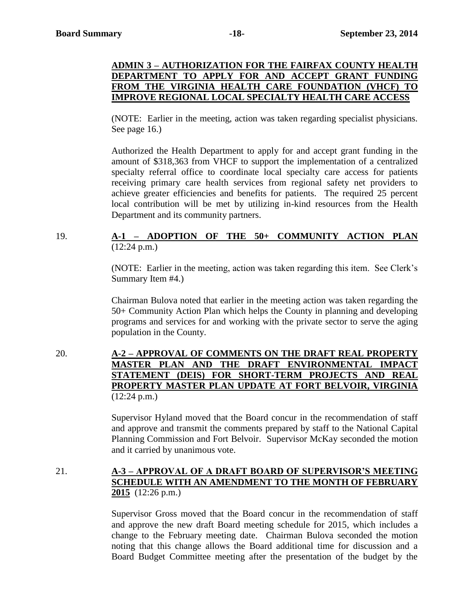# **ADMIN 3 – AUTHORIZATION FOR THE FAIRFAX COUNTY HEALTH DEPARTMENT TO APPLY FOR AND ACCEPT GRANT FUNDING FROM THE VIRGINIA HEALTH CARE FOUNDATION (VHCF) TO IMPROVE REGIONAL LOCAL SPECIALTY HEALTH CARE ACCESS**

(NOTE: Earlier in the meeting, action was taken regarding specialist physicians. See page 16.)

Authorized the Health Department to apply for and accept grant funding in the amount of \$318,363 from VHCF to support the implementation of a centralized specialty referral office to coordinate local specialty care access for patients receiving primary care health services from regional safety net providers to achieve greater efficiencies and benefits for patients. The required 25 percent local contribution will be met by utilizing in-kind resources from the Health Department and its community partners.

# 19. **A-1 – ADOPTION OF THE 50+ COMMUNITY ACTION PLAN** (12:24 p.m.)

(NOTE: Earlier in the meeting, action was taken regarding this item. See Clerk's Summary Item #4.)

Chairman Bulova noted that earlier in the meeting action was taken regarding the 50+ Community Action Plan which helps the County in planning and developing programs and services for and working with the private sector to serve the aging population in the County.

# 20. **A-2 – APPROVAL OF COMMENTS ON THE DRAFT REAL PROPERTY MASTER PLAN AND THE DRAFT ENVIRONMENTAL IMPACT STATEMENT (DEIS) FOR SHORT-TERM PROJECTS AND REAL PROPERTY MASTER PLAN UPDATE AT FORT BELVOIR, VIRGINIA**  $(12:24 \text{ p.m.})$

Supervisor Hyland moved that the Board concur in the recommendation of staff and approve and transmit the comments prepared by staff to the National Capital Planning Commission and Fort Belvoir. Supervisor McKay seconded the motion and it carried by unanimous vote.

# 21. **A-3 – APPROVAL OF A DRAFT BOARD OF SUPERVISOR'S MEETING SCHEDULE WITH AN AMENDMENT TO THE MONTH OF FEBRUARY 2015** (12:26 p.m.)

Supervisor Gross moved that the Board concur in the recommendation of staff and approve the new draft Board meeting schedule for 2015, which includes a change to the February meeting date. Chairman Bulova seconded the motion noting that this change allows the Board additional time for discussion and a Board Budget Committee meeting after the presentation of the budget by the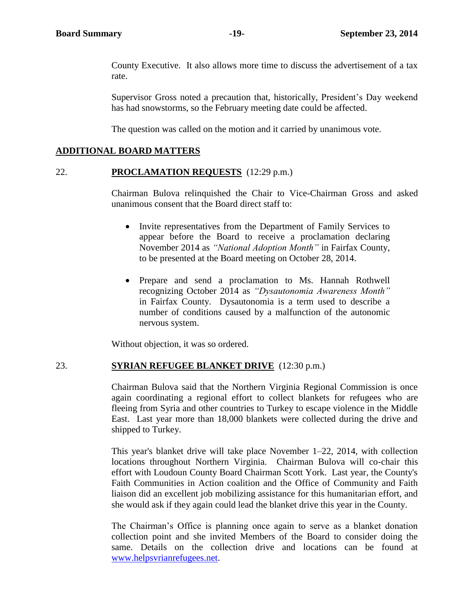County Executive. It also allows more time to discuss the advertisement of a tax rate.

Supervisor Gross noted a precaution that, historically, President's Day weekend has had snowstorms, so the February meeting date could be affected.

The question was called on the motion and it carried by unanimous vote.

# **ADDITIONAL BOARD MATTERS**

#### 22. **PROCLAMATION REQUESTS** (12:29 p.m.)

Chairman Bulova relinquished the Chair to Vice-Chairman Gross and asked unanimous consent that the Board direct staff to:

- Invite representatives from the Department of Family Services to appear before the Board to receive a proclamation declaring November 2014 as *"National Adoption Month"* in Fairfax County, to be presented at the Board meeting on October 28, 2014.
- Prepare and send a proclamation to Ms. Hannah Rothwell recognizing October 2014 as *"Dysautonomia Awareness Month"* in Fairfax County. Dysautonomia is a term used to describe a number of conditions caused by a malfunction of the autonomic nervous system.

Without objection, it was so ordered.

#### 23. **SYRIAN REFUGEE BLANKET DRIVE** (12:30 p.m.)

Chairman Bulova said that the Northern Virginia Regional Commission is once again coordinating a regional effort to collect blankets for refugees who are fleeing from Syria and other countries to Turkey to escape violence in the Middle East. Last year more than 18,000 blankets were collected during the drive and shipped to Turkey.

This year's blanket drive will take place November 1–22, 2014, with collection locations throughout Northern Virginia. Chairman Bulova will co-chair this effort with Loudoun County Board Chairman Scott York. Last year, the County's Faith Communities in Action coalition and the Office of Community and Faith liaison did an excellent job mobilizing assistance for this humanitarian effort, and she would ask if they again could lead the blanket drive this year in the County.

The Chairman's Office is planning once again to serve as a blanket donation collection point and she invited Members of the Board to consider doing the same. Details on the collection drive and locations can be found at [www.helpsvrianrefugees.net.](http://www.helpsvrianrefugees.net/)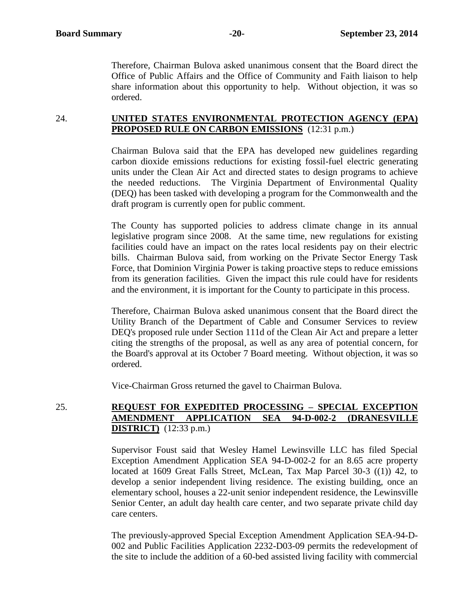Therefore, Chairman Bulova asked unanimous consent that the Board direct the Office of Public Affairs and the Office of Community and Faith liaison to help share information about this opportunity to help. Without objection, it was so ordered.

# 24. **UNITED STATES ENVIRONMENTAL PROTECTION AGENCY (EPA) PROPOSED RULE ON CARBON EMISSIONS** (12:31 p.m.)

Chairman Bulova said that the EPA has developed new guidelines regarding carbon dioxide emissions reductions for existing fossil-fuel electric generating units under the Clean Air Act and directed states to design programs to achieve the needed reductions. The Virginia Department of Environmental Quality (DEQ) has been tasked with developing a program for the Commonwealth and the draft program is currently open for public comment.

The County has supported policies to address climate change in its annual legislative program since 2008. At the same time, new regulations for existing facilities could have an impact on the rates local residents pay on their electric bills. Chairman Bulova said, from working on the Private Sector Energy Task Force, that Dominion Virginia Power is taking proactive steps to reduce emissions from its generation facilities. Given the impact this rule could have for residents and the environment, it is important for the County to participate in this process.

Therefore, Chairman Bulova asked unanimous consent that the Board direct the Utility Branch of the Department of Cable and Consumer Services to review DEQ's proposed rule under Section 111d of the Clean Air Act and prepare a letter citing the strengths of the proposal, as well as any area of potential concern, for the Board's approval at its October 7 Board meeting. Without objection, it was so ordered.

Vice-Chairman Gross returned the gavel to Chairman Bulova.

# 25. **REQUEST FOR EXPEDITED PROCESSING – SPECIAL EXCEPTION AMENDMENT APPLICATION SEA 94-D-002-2 (DRANESVILLE DISTRICT)** (12:33 p.m.)

Supervisor Foust said that Wesley Hamel Lewinsville LLC has filed Special Exception Amendment Application SEA 94-D-002-2 for an 8.65 acre property located at 1609 Great Falls Street, McLean, Tax Map Parcel 30-3 ((1)) 42, to develop a senior independent living residence. The existing building, once an elementary school, houses a 22-unit senior independent residence, the Lewinsville Senior Center, an adult day health care center, and two separate private child day care centers.

The previously-approved Special Exception Amendment Application SEA-94-D-002 and Public Facilities Application 2232-D03-09 permits the redevelopment of the site to include the addition of a 60-bed assisted living facility with commercial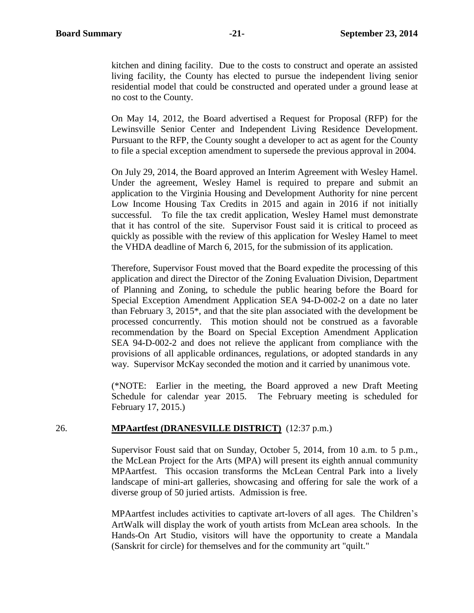kitchen and dining facility. Due to the costs to construct and operate an assisted living facility, the County has elected to pursue the independent living senior residential model that could be constructed and operated under a ground lease at no cost to the County.

On May 14, 2012, the Board advertised a Request for Proposal (RFP) for the Lewinsville Senior Center and Independent Living Residence Development. Pursuant to the RFP, the County sought a developer to act as agent for the County to file a special exception amendment to supersede the previous approval in 2004.

On July 29, 2014, the Board approved an Interim Agreement with Wesley Hamel. Under the agreement, Wesley Hamel is required to prepare and submit an application to the Virginia Housing and Development Authority for nine percent Low Income Housing Tax Credits in 2015 and again in 2016 if not initially successful. To file the tax credit application, Wesley Hamel must demonstrate that it has control of the site. Supervisor Foust said it is critical to proceed as quickly as possible with the review of this application for Wesley Hamel to meet the VHDA deadline of March 6, 2015, for the submission of its application.

Therefore, Supervisor Foust moved that the Board expedite the processing of this application and direct the Director of the Zoning Evaluation Division, Department of Planning and Zoning, to schedule the public hearing before the Board for Special Exception Amendment Application SEA 94-D-002-2 on a date no later than February 3, 2015\*, and that the site plan associated with the development be processed concurrently. This motion should not be construed as a favorable recommendation by the Board on Special Exception Amendment Application SEA 94-D-002-2 and does not relieve the applicant from compliance with the provisions of all applicable ordinances, regulations, or adopted standards in any way. Supervisor McKay seconded the motion and it carried by unanimous vote.

(\*NOTE: Earlier in the meeting, the Board approved a new Draft Meeting Schedule for calendar year 2015. The February meeting is scheduled for February 17, 2015.)

#### 26. **MPAartfest (DRANESVILLE DISTRICT)** (12:37 p.m.)

Supervisor Foust said that on Sunday, October 5, 2014, from 10 a.m. to 5 p.m., the McLean Project for the Arts (MPA) will present its eighth annual community MPAartfest. This occasion transforms the McLean Central Park into a lively landscape of mini-art galleries, showcasing and offering for sale the work of a diverse group of 50 juried artists. Admission is free.

MPAartfest includes activities to captivate art-lovers of all ages. The Children's ArtWalk will display the work of youth artists from McLean area schools. In the Hands-On Art Studio, visitors will have the opportunity to create a Mandala (Sanskrit for circle) for themselves and for the community art "quilt."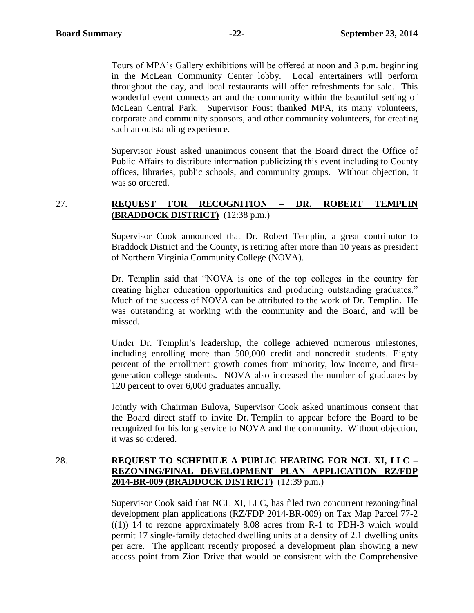Tours of MPA's Gallery exhibitions will be offered at noon and 3 p.m. beginning in the McLean Community Center lobby. Local entertainers will perform throughout the day, and local restaurants will offer refreshments for sale. This wonderful event connects art and the community within the beautiful setting of McLean Central Park. Supervisor Foust thanked MPA, its many volunteers, corporate and community sponsors, and other community volunteers, for creating such an outstanding experience.

Supervisor Foust asked unanimous consent that the Board direct the Office of Public Affairs to distribute information publicizing this event including to County offices, libraries, public schools, and community groups. Without objection, it was so ordered.

# 27. **REQUEST FOR RECOGNITION – DR. ROBERT TEMPLIN (BRADDOCK DISTRICT)** (12:38 p.m.)

Supervisor Cook announced that Dr. Robert Templin, a great contributor to Braddock District and the County, is retiring after more than 10 years as president of Northern Virginia Community College (NOVA).

Dr. Templin said that "NOVA is one of the top colleges in the country for creating higher education opportunities and producing outstanding graduates." Much of the success of NOVA can be attributed to the work of Dr. Templin. He was outstanding at working with the community and the Board, and will be missed.

Under Dr. Templin's leadership, the college achieved numerous milestones, including enrolling more than 500,000 credit and noncredit students. Eighty percent of the enrollment growth comes from minority, low income, and firstgeneration college students. NOVA also increased the number of graduates by 120 percent to over 6,000 graduates annually.

Jointly with Chairman Bulova, Supervisor Cook asked unanimous consent that the Board direct staff to invite Dr. Templin to appear before the Board to be recognized for his long service to NOVA and the community. Without objection, it was so ordered.

# 28. **REQUEST TO SCHEDULE A PUBLIC HEARING FOR NCL XI, LLC – REZONING/FINAL DEVELOPMENT PLAN APPLICATION RZ/FDP 2014-BR-009 (BRADDOCK DISTRICT)** (12:39 p.m.)

Supervisor Cook said that NCL XI, LLC, has filed two concurrent rezoning/final development plan applications (RZ/FDP 2014-BR-009) on Tax Map Parcel 77-2  $((1))$  14 to rezone approximately 8.08 acres from R-1 to PDH-3 which would permit 17 single-family detached dwelling units at a density of 2.1 dwelling units per acre. The applicant recently proposed a development plan showing a new access point from Zion Drive that would be consistent with the Comprehensive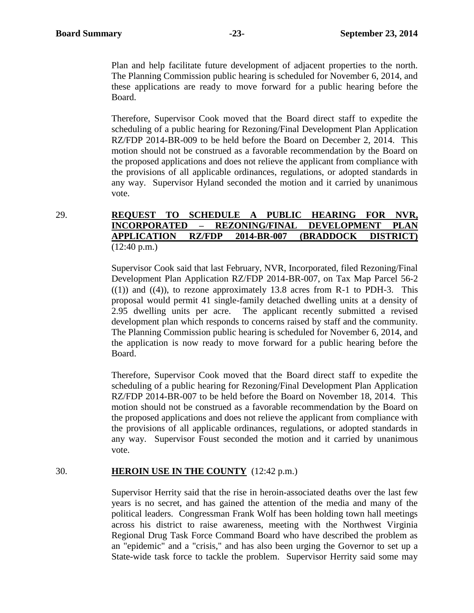Plan and help facilitate future development of adjacent properties to the north. The Planning Commission public hearing is scheduled for November 6, 2014, and these applications are ready to move forward for a public hearing before the Board.

Therefore, Supervisor Cook moved that the Board direct staff to expedite the scheduling of a public hearing for Rezoning/Final Development Plan Application RZ/FDP 2014-BR-009 to be held before the Board on December 2, 2014. This motion should not be construed as a favorable recommendation by the Board on the proposed applications and does not relieve the applicant from compliance with the provisions of all applicable ordinances, regulations, or adopted standards in any way. Supervisor Hyland seconded the motion and it carried by unanimous vote.

# 29. **REQUEST TO SCHEDULE A PUBLIC HEARING FOR NVR, INCORPORATED – REZONING/FINAL DEVELOPMENT PLAN APPLICATION RZ/FDP 2014-BR-007 (BRADDOCK DISTRICT)** (12:40 p.m.)

Supervisor Cook said that last February, NVR, Incorporated, filed Rezoning/Final Development Plan Application RZ/FDP 2014-BR-007, on Tax Map Parcel 56-2  $((1))$  and  $((4))$ , to rezone approximately 13.8 acres from R-1 to PDH-3. This proposal would permit 41 single-family detached dwelling units at a density of 2.95 dwelling units per acre. The applicant recently submitted a revised development plan which responds to concerns raised by staff and the community. The Planning Commission public hearing is scheduled for November 6, 2014, and the application is now ready to move forward for a public hearing before the Board.

Therefore, Supervisor Cook moved that the Board direct staff to expedite the scheduling of a public hearing for Rezoning/Final Development Plan Application RZ/FDP 2014-BR-007 to be held before the Board on November 18, 2014. This motion should not be construed as a favorable recommendation by the Board on the proposed applications and does not relieve the applicant from compliance with the provisions of all applicable ordinances, regulations, or adopted standards in any way. Supervisor Foust seconded the motion and it carried by unanimous vote.

#### 30. **HEROIN USE IN THE COUNTY** (12:42 p.m.)

Supervisor Herrity said that the rise in heroin-associated deaths over the last few years is no secret, and has gained the attention of the media and many of the political leaders. Congressman Frank Wolf has been holding town hall meetings across his district to raise awareness, meeting with the Northwest Virginia Regional Drug Task Force Command Board who have described the problem as an "epidemic" and a "crisis," and has also been urging the Governor to set up a State-wide task force to tackle the problem. Supervisor Herrity said some may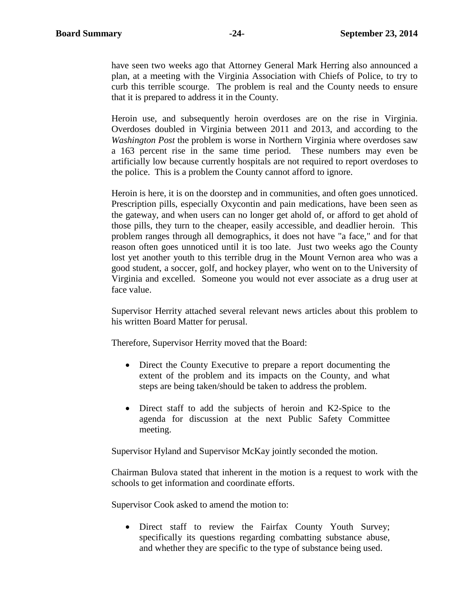have seen two weeks ago that Attorney General Mark Herring also announced a plan, at a meeting with the Virginia Association with Chiefs of Police, to try to curb this terrible scourge. The problem is real and the County needs to ensure that it is prepared to address it in the County.

Heroin use, and subsequently heroin overdoses are on the rise in Virginia. Overdoses doubled in Virginia between 2011 and 2013, and according to the *Washington Post* the problem is worse in Northern Virginia where overdoses saw a 163 percent rise in the same time period. These numbers may even be artificially low because currently hospitals are not required to report overdoses to the police. This is a problem the County cannot afford to ignore.

Heroin is here, it is on the doorstep and in communities, and often goes unnoticed. Prescription pills, especially Oxycontin and pain medications, have been seen as the gateway, and when users can no longer get ahold of, or afford to get ahold of those pills, they turn to the cheaper, easily accessible, and deadlier heroin. This problem ranges through all demographics, it does not have "a face," and for that reason often goes unnoticed until it is too late. Just two weeks ago the County lost yet another youth to this terrible drug in the Mount Vernon area who was a good student, a soccer, golf, and hockey player, who went on to the University of Virginia and excelled. Someone you would not ever associate as a drug user at face value.

Supervisor Herrity attached several relevant news articles about this problem to his written Board Matter for perusal.

Therefore, Supervisor Herrity moved that the Board:

- Direct the County Executive to prepare a report documenting the extent of the problem and its impacts on the County, and what steps are being taken/should be taken to address the problem.
- Direct staff to add the subjects of heroin and K2-Spice to the agenda for discussion at the next Public Safety Committee meeting.

Supervisor Hyland and Supervisor McKay jointly seconded the motion.

Chairman Bulova stated that inherent in the motion is a request to work with the schools to get information and coordinate efforts.

Supervisor Cook asked to amend the motion to:

• Direct staff to review the Fairfax County Youth Survey; specifically its questions regarding combatting substance abuse, and whether they are specific to the type of substance being used.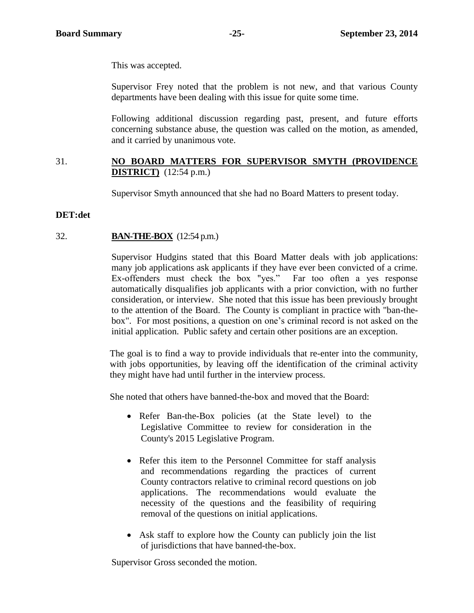This was accepted.

Supervisor Frey noted that the problem is not new, and that various County departments have been dealing with this issue for quite some time.

Following additional discussion regarding past, present, and future efforts concerning substance abuse, the question was called on the motion, as amended, and it carried by unanimous vote.

# 31. **NO BOARD MATTERS FOR SUPERVISOR SMYTH (PROVIDENCE DISTRICT)** (12:54 p.m.)

Supervisor Smyth announced that she had no Board Matters to present today.

# **DET:det**

# 32. **BAN-THE-BOX** (12:54 p.m.)

Supervisor Hudgins stated that this Board Matter deals with job applications: many job applications ask applicants if they have ever been convicted of a crime. Ex-offenders must check the box "yes." Far too often a yes response automatically disqualifies job applicants with a prior conviction, with no further consideration, or interview. She noted that this issue has been previously brought to the attention of the Board. The County is compliant in practice with "ban-thebox". For most positions, a question on one's criminal record is not asked on the initial application. Public safety and certain other positions are an exception.

The goal is to find a way to provide individuals that re-enter into the community, with jobs opportunities, by leaving off the identification of the criminal activity they might have had until further in the interview process.

She noted that others have banned-the-box and moved that the Board:

- Refer Ban-the-Box policies (at the State level) to the Legislative Committee to review for consideration in the County's 2015 Legislative Program.
- Refer this item to the Personnel Committee for staff analysis and recommendations regarding the practices of current County contractors relative to criminal record questions on job applications. The recommendations would evaluate the necessity of the questions and the feasibility of requiring removal of the questions on initial applications.
- Ask staff to explore how the County can publicly join the list of jurisdictions that have banned-the-box.

Supervisor Gross seconded the motion.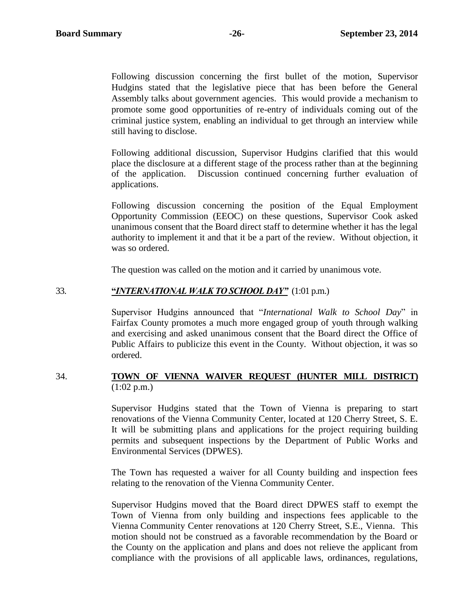Following discussion concerning the first bullet of the motion, Supervisor Hudgins stated that the legislative piece that has been before the General Assembly talks about government agencies. This would provide a mechanism to promote some good opportunities of re-entry of individuals coming out of the criminal justice system, enabling an individual to get through an interview while still having to disclose.

Following additional discussion, Supervisor Hudgins clarified that this would place the disclosure at a different stage of the process rather than at the beginning of the application. Discussion continued concerning further evaluation of applications.

Following discussion concerning the position of the Equal Employment Opportunity Commission (EEOC) on these questions, Supervisor Cook asked unanimous consent that the Board direct staff to determine whether it has the legal authority to implement it and that it be a part of the review. Without objection, it was so ordered.

The question was called on the motion and it carried by unanimous vote.

#### 33. **"***INTERNATIONAL WALK TO SCHOOL DAY"* (1:01 p.m.)

Supervisor Hudgins announced that "*International Walk to School Day*" in Fairfax County promotes a much more engaged group of youth through walking and exercising and asked unanimous consent that the Board direct the Office of Public Affairs to publicize this event in the County. Without objection, it was so ordered.

#### 34. **TOWN OF VIENNA WAIVER REQUEST (HUNTER MILL DISTRICT)**  $(1:02 \text{ p.m.})$

Supervisor Hudgins stated that the Town of Vienna is preparing to start renovations of the Vienna Community Center, located at 120 Cherry Street, S. E. It will be submitting plans and applications for the project requiring building permits and subsequent inspections by the Department of Public Works and Environmental Services (DPWES).

The Town has requested a waiver for all County building and inspection fees relating to the renovation of the Vienna Community Center.

Supervisor Hudgins moved that the Board direct DPWES staff to exempt the Town of Vienna from only building and inspections fees applicable to the Vienna Community Center renovations at 120 Cherry Street, S.E., Vienna. This motion should not be construed as a favorable recommendation by the Board or the County on the application and plans and does not relieve the applicant from compliance with the provisions of all applicable laws, ordinances, regulations,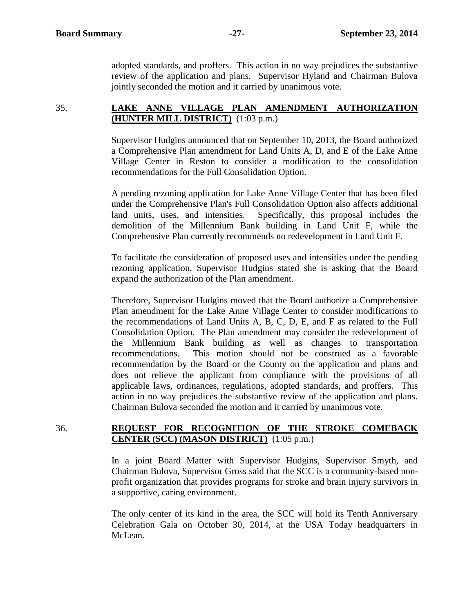adopted standards, and proffers. This action in no way prejudices the substantive review of the application and plans. Supervisor Hyland and Chairman Bulova jointly seconded the motion and it carried by unanimous vote.

# 35. **LAKE ANNE VILLAGE PLAN AMENDMENT AUTHORIZATION (HUNTER MILL DISTRICT)** (1:03 p.m.)

Supervisor Hudgins announced that on September 10, 2013, the Board authorized a Comprehensive Plan amendment for Land Units A, D, and E of the Lake Anne Village Center in Reston to consider a modification to the consolidation recommendations for the Full Consolidation Option.

A pending rezoning application for Lake Anne Village Center that has been filed under the Comprehensive Plan's Full Consolidation Option also affects additional land units, uses, and intensities. Specifically, this proposal includes the demolition of the Millennium Bank building in Land Unit F, while the Comprehensive Plan currently recommends no redevelopment in Land Unit F.

To facilitate the consideration of proposed uses and intensities under the pending rezoning application, Supervisor Hudgins stated she is asking that the Board expand the authorization of the Plan amendment.

Therefore, Supervisor Hudgins moved that the Board authorize a Comprehensive Plan amendment for the Lake Anne Village Center to consider modifications to the recommendations of Land Units A, B, C, D, E, and F as related to the Full Consolidation Option. The Plan amendment may consider the redevelopment of the Millennium Bank building as well as changes to transportation recommendations. This motion should not be construed as a favorable recommendation by the Board or the County on the application and plans and does not relieve the applicant from compliance with the provisions of all applicable laws, ordinances, regulations, adopted standards, and proffers. This action in no way prejudices the substantive review of the application and plans. Chairman Bulova seconded the motion and it carried by unanimous vote.

# 36. **REQUEST FOR RECOGNITION OF THE STROKE COMEBACK CENTER (SCC) (MASON DISTRICT)** (1:05 p.m.)

In a joint Board Matter with Supervisor Hudgins, Supervisor Smyth, and Chairman Bulova, Supervisor Gross said that the SCC is a community-based nonprofit organization that provides programs for stroke and brain injury survivors in a supportive, caring environment.

The only center of its kind in the area, the SCC will hold its Tenth Anniversary Celebration Gala on October 30, 2014, at the USA Today headquarters in McLean.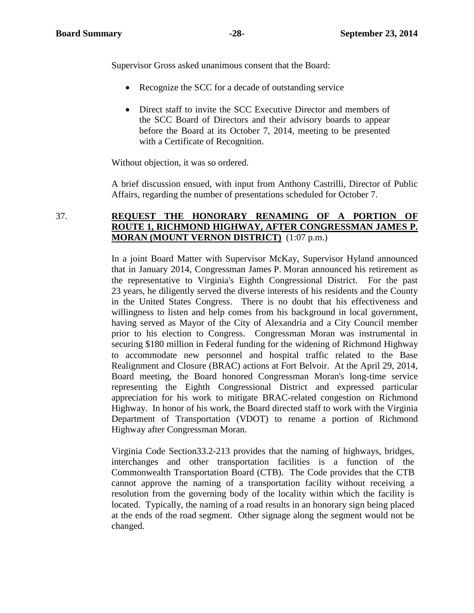Supervisor Gross asked unanimous consent that the Board:

- Recognize the SCC for a decade of outstanding service
- Direct staff to invite the SCC Executive Director and members of the SCC Board of Directors and their advisory boards to appear before the Board at its October 7, 2014, meeting to be presented with a Certificate of Recognition.

Without objection, it was so ordered.

A brief discussion ensued, with input from Anthony Castrilli, Director of Public Affairs, regarding the number of presentations scheduled for October 7.

# 37. **REQUEST THE HONORARY RENAMING OF A PORTION OF ROUTE 1, RICHMOND HIGHWAY, AFTER CONGRESSMAN JAMES P. MORAN (MOUNT VERNON DISTRICT)** (1:07 p.m.)

In a joint Board Matter with Supervisor McKay, Supervisor Hyland announced that in January 2014, Congressman James P. Moran announced his retirement as the representative to Virginia's Eighth Congressional District. For the past 23 years, he diligently served the diverse interests of his residents and the County in the United States Congress. There is no doubt that his effectiveness and willingness to listen and help comes from his background in local government, having served as Mayor of the City of Alexandria and a City Council member prior to his election to Congress. Congressman Moran was instrumental in securing \$180 million in Federal funding for the widening of Richmond Highway to accommodate new personnel and hospital traffic related to the Base Realignment and Closure (BRAC) actions at Fort Belvoir. At the April 29, 2014, Board meeting, the Board honored Congressman Moran's long-time service representing the Eighth Congressional District and expressed particular appreciation for his work to mitigate BRAC-related congestion on Richmond Highway. In honor of his work, the Board directed staff to work with the Virginia Department of Transportation (VDOT) to rename a portion of Richmond Highway after Congressman Moran.

Virginia Code Section33.2-213 provides that the naming of highways, bridges, interchanges and other transportation facilities is a function of the Commonwealth Transportation Board (CTB). The Code provides that the CTB cannot approve the naming of a transportation facility without receiving a resolution from the governing body of the locality within which the facility is located. Typically, the naming of a road results in an honorary sign being placed at the ends of the road segment. Other signage along the segment would not be changed.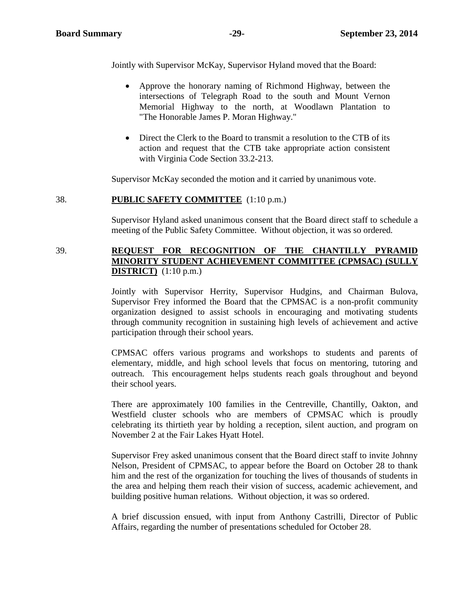Jointly with Supervisor McKay, Supervisor Hyland moved that the Board:

- Approve the honorary naming of Richmond Highway, between the intersections of Telegraph Road to the south and Mount Vernon Memorial Highway to the north, at Woodlawn Plantation to "The Honorable James P. Moran Highway."
- Direct the Clerk to the Board to transmit a resolution to the CTB of its action and request that the CTB take appropriate action consistent with Virginia Code Section 33.2-213.

Supervisor McKay seconded the motion and it carried by unanimous vote.

#### 38. **PUBLIC SAFETY COMMITTEE** (1:10 p.m.)

Supervisor Hyland asked unanimous consent that the Board direct staff to schedule a meeting of the Public Safety Committee. Without objection, it was so ordered.

#### 39. **REQUEST FOR RECOGNITION OF THE CHANTILLY PYRAMID MINORITY STUDENT ACHIEVEMENT COMMITTEE (CPMSAC) (SULLY DISTRICT)** (1:10 p.m.)

Jointly with Supervisor Herrity, Supervisor Hudgins, and Chairman Bulova, Supervisor Frey informed the Board that the CPMSAC is a non-profit community organization designed to assist schools in encouraging and motivating students through community recognition in sustaining high levels of achievement and active participation through their school years.

CPMSAC offers various programs and workshops to students and parents of elementary, middle, and high school levels that focus on mentoring, tutoring and outreach. This encouragement helps students reach goals throughout and beyond their school years.

There are approximately 100 families in the Centreville, Chantilly, Oakton, and Westfield cluster schools who are members of CPMSAC which is proudly celebrating its thirtieth year by holding a reception, silent auction, and program on November 2 at the Fair Lakes Hyatt Hotel.

Supervisor Frey asked unanimous consent that the Board direct staff to invite Johnny Nelson, President of CPMSAC, to appear before the Board on October 28 to thank him and the rest of the organization for touching the lives of thousands of students in the area and helping them reach their vision of success, academic achievement, and building positive human relations. Without objection, it was so ordered.

A brief discussion ensued, with input from Anthony Castrilli, Director of Public Affairs, regarding the number of presentations scheduled for October 28.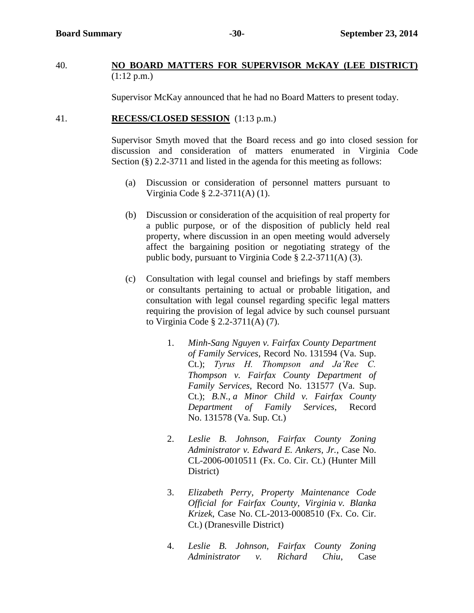#### 40. **NO BOARD MATTERS FOR SUPERVISOR McKAY (LEE DISTRICT)** (1:12 p.m.)

Supervisor McKay announced that he had no Board Matters to present today.

#### 41. **RECESS/CLOSED SESSION** (1:13 p.m.)

Supervisor Smyth moved that the Board recess and go into closed session for discussion and consideration of matters enumerated in Virginia Code Section (§) 2.2-3711 and listed in the agenda for this meeting as follows:

- (a) Discussion or consideration of personnel matters pursuant to Virginia Code § 2.2-3711(A) (1).
- (b) Discussion or consideration of the acquisition of real property for a public purpose, or of the disposition of publicly held real property, where discussion in an open meeting would adversely affect the bargaining position or negotiating strategy of the public body, pursuant to Virginia Code § 2.2-3711(A) (3).
- (c) Consultation with legal counsel and briefings by staff members or consultants pertaining to actual or probable litigation, and consultation with legal counsel regarding specific legal matters requiring the provision of legal advice by such counsel pursuant to Virginia Code § 2.2-3711(A) (7).
	- 1. *Minh-Sang Nguyen v. Fairfax County Department of Family Services*, Record No. 131594 (Va. Sup. Ct.); *Tyrus H. Thompson and Ja'Ree C. Thompson v. Fairfax County Department of Family Services*, Record No. 131577 (Va. Sup. Ct.); *B.N., a Minor Child v. Fairfax County Department of Family Services*, Record No. 131578 (Va. Sup. Ct.)
	- 2. *Leslie B. Johnson, Fairfax County Zoning Administrator v. Edward E. Ankers, Jr.*, Case No. CL-2006-0010511 (Fx. Co. Cir. Ct.) (Hunter Mill District)
	- 3. *Elizabeth Perry, Property Maintenance Code Official for Fairfax County, Virginia v. Blanka Krizek*, Case No. CL-2013-0008510 (Fx. Co. Cir. Ct.) (Dranesville District)
	- 4. *Leslie B. Johnson, Fairfax County Zoning Administrator v. Richard Chiu*, Case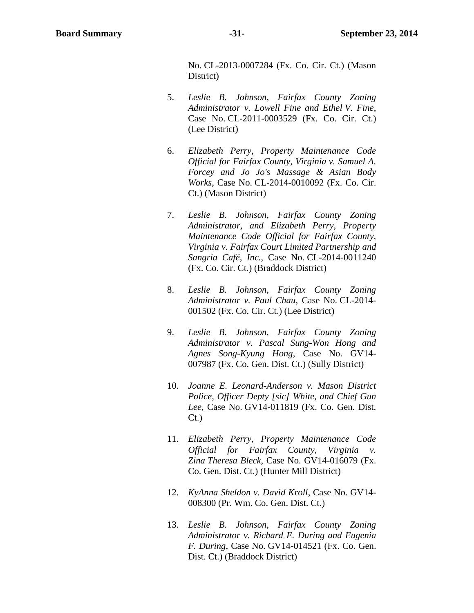No. CL-2013-0007284 (Fx. Co. Cir. Ct.) (Mason District)

- 5. *Leslie B. Johnson, Fairfax County Zoning Administrator v. Lowell Fine and Ethel V. Fine*, Case No. CL-2011-0003529 (Fx. Co. Cir. Ct.) (Lee District)
- 6. *Elizabeth Perry, Property Maintenance Code Official for Fairfax County, Virginia v. Samuel A. Forcey and Jo Jo's Massage & Asian Body Works*, Case No. CL-2014-0010092 (Fx. Co. Cir. Ct.) (Mason District)
- 7. *Leslie B. Johnson, Fairfax County Zoning Administrator, and Elizabeth Perry, Property Maintenance Code Official for Fairfax County, Virginia v. Fairfax Court Limited Partnership and Sangria Café, Inc.*, Case No. CL-2014-0011240 (Fx. Co. Cir. Ct.) (Braddock District)
- 8. *Leslie B. Johnson, Fairfax County Zoning Administrator v. Paul Chau*, Case No. CL-2014- 001502 (Fx. Co. Cir. Ct.) (Lee District)
- 9. *Leslie B. Johnson, Fairfax County Zoning Administrator v. Pascal Sung-Won Hong and Agnes Song-Kyung Hong*, Case No. GV14- 007987 (Fx. Co. Gen. Dist. Ct.) (Sully District)
- 10. *Joanne E. Leonard-Anderson v. Mason District Police, Officer Depty [sic] White, and Chief Gun Lee*, Case No. GV14-011819 (Fx. Co. Gen. Dist. Ct.)
- 11. *Elizabeth Perry, Property Maintenance Code Official for Fairfax County, Virginia v. Zina Theresa Bleck*, Case No. GV14-016079 (Fx. Co. Gen. Dist. Ct.) (Hunter Mill District)
- 12. *KyAnna Sheldon v. David Kroll*, Case No. GV14- 008300 (Pr. Wm. Co. Gen. Dist. Ct.)
- 13. *Leslie B. Johnson, Fairfax County Zoning Administrator v. Richard E. During and Eugenia F. During*, Case No. GV14-014521 (Fx. Co. Gen. Dist. Ct.) (Braddock District)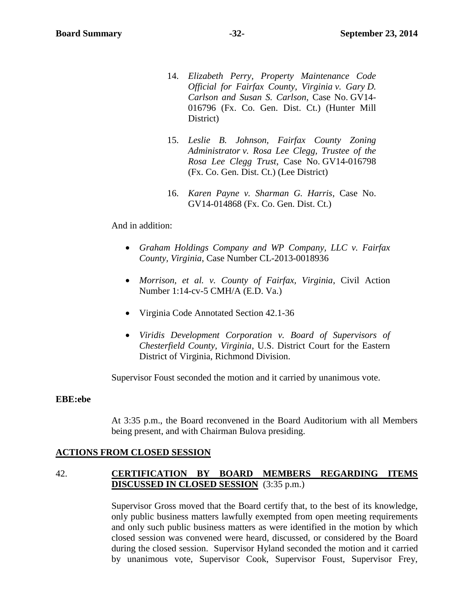- 14. *Elizabeth Perry, Property Maintenance Code Official for Fairfax County, Virginia v. Gary D. Carlson and Susan S. Carlson*, Case No. GV14- 016796 (Fx. Co. Gen. Dist. Ct.) (Hunter Mill District)
- 15. *Leslie B. Johnson, Fairfax County Zoning Administrator v. Rosa Lee Clegg, Trustee of the Rosa Lee Clegg Trust*, Case No. GV14-016798 (Fx. Co. Gen. Dist. Ct.) (Lee District)
- 16. *Karen Payne v. Sharman G. Harris*, Case No. GV14-014868 (Fx. Co. Gen. Dist. Ct.)

#### And in addition:

- *Graham Holdings Company and WP Company, LLC v. Fairfax County, Virginia*, Case Number CL-2013-0018936
- *Morrison, et al. v. County of Fairfax, Virginia*, Civil Action Number 1:14-cv-5 CMH/A (E.D. Va.)
- Virginia Code Annotated Section 42.1-36
- *Viridis Development Corporation v. Board of Supervisors of Chesterfield County, Virginia*, U.S. District Court for the Eastern District of Virginia, Richmond Division.

Supervisor Foust seconded the motion and it carried by unanimous vote.

#### **EBE:ebe**

At 3:35 p.m., the Board reconvened in the Board Auditorium with all Members being present, and with Chairman Bulova presiding.

#### **ACTIONS FROM CLOSED SESSION**

#### 42. **CERTIFICATION BY BOARD MEMBERS REGARDING ITEMS DISCUSSED IN CLOSED SESSION** (3:35 p.m.)

Supervisor Gross moved that the Board certify that, to the best of its knowledge, only public business matters lawfully exempted from open meeting requirements and only such public business matters as were identified in the motion by which closed session was convened were heard, discussed, or considered by the Board during the closed session. Supervisor Hyland seconded the motion and it carried by unanimous vote, Supervisor Cook, Supervisor Foust, Supervisor Frey,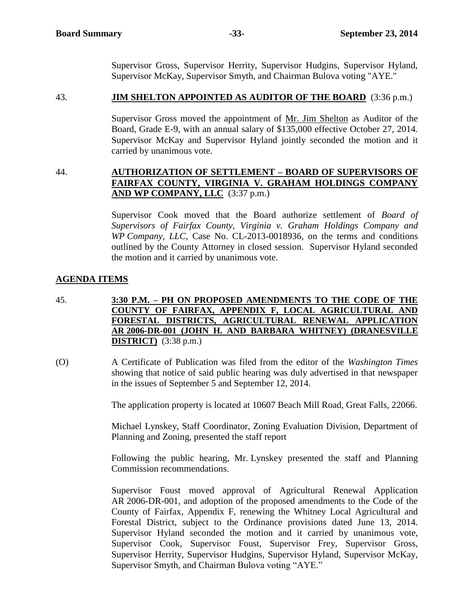Supervisor Gross, Supervisor Herrity, Supervisor Hudgins, Supervisor Hyland, Supervisor McKay, Supervisor Smyth, and Chairman Bulova voting "AYE."

#### 43. **JIM SHELTON APPOINTED AS AUDITOR OF THE BOARD** (3:36 p.m.)

Supervisor Gross moved the appointment of Mr. Jim Shelton as Auditor of the Board, Grade E-9, with an annual salary of \$135,000 effective October 27, 2014. Supervisor McKay and Supervisor Hyland jointly seconded the motion and it carried by unanimous vote.

# 44. **AUTHORIZATION OF SETTLEMENT – BOARD OF SUPERVISORS OF FAIRFAX COUNTY, VIRGINIA V. GRAHAM HOLDINGS COMPANY AND WP COMPANY, LLC** (3:37 p.m.)

Supervisor Cook moved that the Board authorize settlement of *Board of Supervisors of Fairfax County, Virginia v. Graham Holdings Company and WP Company, LLC,* Case No. CL-2013-0018936, on the terms and conditions outlined by the County Attorney in closed session. Supervisor Hyland seconded the motion and it carried by unanimous vote.

# **AGENDA ITEMS**

- 45. **3:30 P.M. – PH ON PROPOSED AMENDMENTS TO THE CODE OF THE COUNTY OF FAIRFAX, APPENDIX F, LOCAL AGRICULTURAL AND FORESTAL DISTRICTS, AGRICULTURAL RENEWAL APPLICATION AR 2006-DR-001 (JOHN H. AND BARBARA WHITNEY) (DRANESVILLE DISTRICT)** (3:38 p.m.)
- (O) A Certificate of Publication was filed from the editor of the *Washington Times*  showing that notice of said public hearing was duly advertised in that newspaper in the issues of September 5 and September 12, 2014.

The application property is located at 10607 Beach Mill Road, Great Falls, 22066.

Michael Lynskey, Staff Coordinator, Zoning Evaluation Division, Department of Planning and Zoning, presented the staff report

Following the public hearing, Mr. Lynskey presented the staff and Planning Commission recommendations.

Supervisor Foust moved approval of Agricultural Renewal Application AR 2006-DR-001, and adoption of the proposed amendments to the Code of the County of Fairfax, Appendix F, renewing the Whitney Local Agricultural and Forestal District, subject to the Ordinance provisions dated June 13, 2014. Supervisor Hyland seconded the motion and it carried by unanimous vote, Supervisor Cook, Supervisor Foust, Supervisor Frey, Supervisor Gross, Supervisor Herrity, Supervisor Hudgins, Supervisor Hyland, Supervisor McKay, Supervisor Smyth, and Chairman Bulova voting "AYE."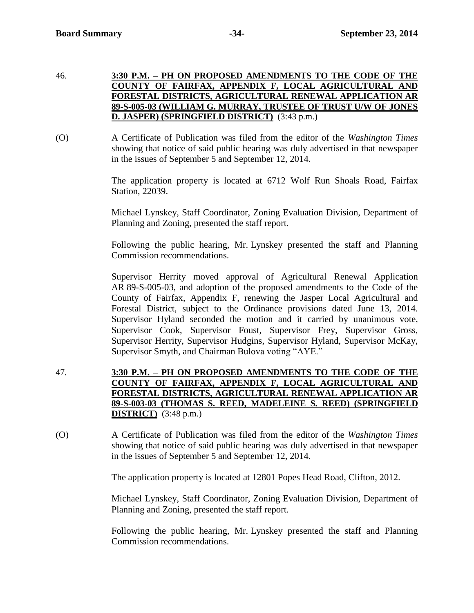- 46. **3:30 P.M. – PH ON PROPOSED AMENDMENTS TO THE CODE OF THE COUNTY OF FAIRFAX, APPENDIX F, LOCAL AGRICULTURAL AND FORESTAL DISTRICTS, AGRICULTURAL RENEWAL APPLICATION AR 89-S-005-03 (WILLIAM G. MURRAY, TRUSTEE OF TRUST U/W OF JONES D. JASPER) (SPRINGFIELD DISTRICT)** (3:43 p.m.)
- (O) A Certificate of Publication was filed from the editor of the *Washington Times*  showing that notice of said public hearing was duly advertised in that newspaper in the issues of September 5 and September 12, 2014.

The application property is located at 6712 Wolf Run Shoals Road, Fairfax Station, 22039.

Michael Lynskey, Staff Coordinator, Zoning Evaluation Division, Department of Planning and Zoning, presented the staff report.

Following the public hearing, Mr. Lynskey presented the staff and Planning Commission recommendations.

Supervisor Herrity moved approval of Agricultural Renewal Application AR 89-S-005-03, and adoption of the proposed amendments to the Code of the County of Fairfax, Appendix F, renewing the Jasper Local Agricultural and Forestal District, subject to the Ordinance provisions dated June 13, 2014. Supervisor Hyland seconded the motion and it carried by unanimous vote, Supervisor Cook, Supervisor Foust, Supervisor Frey, Supervisor Gross, Supervisor Herrity, Supervisor Hudgins, Supervisor Hyland, Supervisor McKay, Supervisor Smyth, and Chairman Bulova voting "AYE."

- 47. **3:30 P.M. – PH ON PROPOSED AMENDMENTS TO THE CODE OF THE COUNTY OF FAIRFAX, APPENDIX F, LOCAL AGRICULTURAL AND FORESTAL DISTRICTS, AGRICULTURAL RENEWAL APPLICATION AR 89-S-003-03 (THOMAS S. REED, MADELEINE S. REED) (SPRINGFIELD DISTRICT)** (3:48 p.m.)
- (O) A Certificate of Publication was filed from the editor of the *Washington Times*  showing that notice of said public hearing was duly advertised in that newspaper in the issues of September 5 and September 12, 2014.

The application property is located at 12801 Popes Head Road, Clifton, 2012.

Michael Lynskey, Staff Coordinator, Zoning Evaluation Division, Department of Planning and Zoning, presented the staff report.

Following the public hearing, Mr. Lynskey presented the staff and Planning Commission recommendations.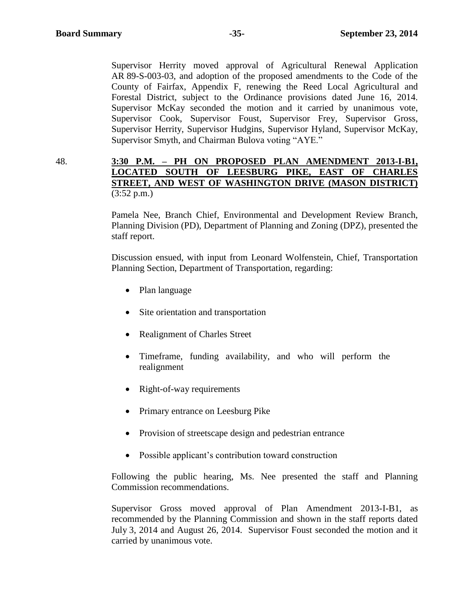Supervisor Herrity moved approval of Agricultural Renewal Application AR 89-S-003-03, and adoption of the proposed amendments to the Code of the County of Fairfax, Appendix F, renewing the Reed Local Agricultural and Forestal District, subject to the Ordinance provisions dated June 16, 2014. Supervisor McKay seconded the motion and it carried by unanimous vote, Supervisor Cook, Supervisor Foust, Supervisor Frey, Supervisor Gross, Supervisor Herrity, Supervisor Hudgins, Supervisor Hyland, Supervisor McKay, Supervisor Smyth, and Chairman Bulova voting "AYE."

48. **3:30 P.M. – PH ON PROPOSED PLAN AMENDMENT 2013-I-B1, LOCATED SOUTH OF LEESBURG PIKE, EAST OF CHARLES STREET, AND WEST OF WASHINGTON DRIVE (MASON DISTRICT)**  $(3:52 \text{ p.m.})$ 

> Pamela Nee, Branch Chief, Environmental and Development Review Branch, Planning Division (PD), Department of Planning and Zoning (DPZ), presented the staff report.

> Discussion ensued, with input from Leonard Wolfenstein, Chief, Transportation Planning Section, Department of Transportation, regarding:

- Plan language
- Site orientation and transportation
- Realignment of Charles Street
- Timeframe, funding availability, and who will perform the realignment
- Right-of-way requirements
- Primary entrance on Leesburg Pike
- Provision of streetscape design and pedestrian entrance
- Possible applicant's contribution toward construction

Following the public hearing, Ms. Nee presented the staff and Planning Commission recommendations.

Supervisor Gross moved approval of Plan Amendment 2013-I-B1, as recommended by the Planning Commission and shown in the staff reports dated July 3, 2014 and August 26, 2014. Supervisor Foust seconded the motion and it carried by unanimous vote.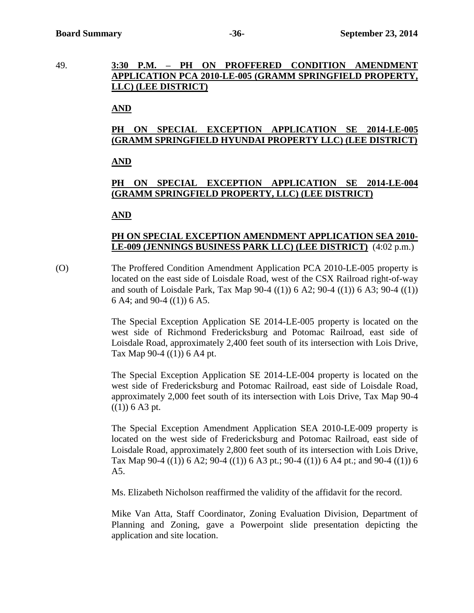49. **3:30 P.M. – PH ON PROFFERED CONDITION AMENDMENT APPLICATION PCA 2010-LE-005 (GRAMM SPRINGFIELD PROPERTY, LLC) (LEE DISTRICT)**

# **AND**

# **PH ON SPECIAL EXCEPTION APPLICATION SE 2014-LE-005 (GRAMM SPRINGFIELD HYUNDAI PROPERTY LLC) (LEE DISTRICT)**

# **AND**

# **PH ON SPECIAL EXCEPTION APPLICATION SE 2014-LE-004 (GRAMM SPRINGFIELD PROPERTY, LLC) (LEE DISTRICT)**

# **AND**

# **PH ON SPECIAL EXCEPTION AMENDMENT APPLICATION SEA 2010- LE-009 (JENNINGS BUSINESS PARK LLC) (LEE DISTRICT)** (4:02 p.m.)

(O) The Proffered Condition Amendment Application PCA 2010-LE-005 property is located on the east side of Loisdale Road, west of the CSX Railroad right-of-way and south of Loisdale Park, Tax Map 90-4 ((1)) 6 A2; 90-4 ((1)) 6 A3; 90-4 ((1)) 6 A4; and 90-4 ((1)) 6 A5.

> The Special Exception Application SE 2014-LE-005 property is located on the west side of Richmond Fredericksburg and Potomac Railroad, east side of Loisdale Road, approximately 2,400 feet south of its intersection with Lois Drive, Tax Map 90-4 ((1)) 6 A4 pt.

> The Special Exception Application SE 2014-LE-004 property is located on the west side of Fredericksburg and Potomac Railroad, east side of Loisdale Road, approximately 2,000 feet south of its intersection with Lois Drive, Tax Map 90-4  $((1))$  6 A3 pt.

> The Special Exception Amendment Application SEA 2010-LE-009 property is located on the west side of Fredericksburg and Potomac Railroad, east side of Loisdale Road, approximately 2,800 feet south of its intersection with Lois Drive, Tax Map  $90-4$   $((1))$  6 A2;  $90-4$   $((1))$  6 A3 pt.;  $90-4$   $((1))$  6 A4 pt.; and  $90-4$   $((1))$  6 A5.

Ms. Elizabeth Nicholson reaffirmed the validity of the affidavit for the record.

Mike Van Atta, Staff Coordinator, Zoning Evaluation Division, Department of Planning and Zoning, gave a Powerpoint slide presentation depicting the application and site location.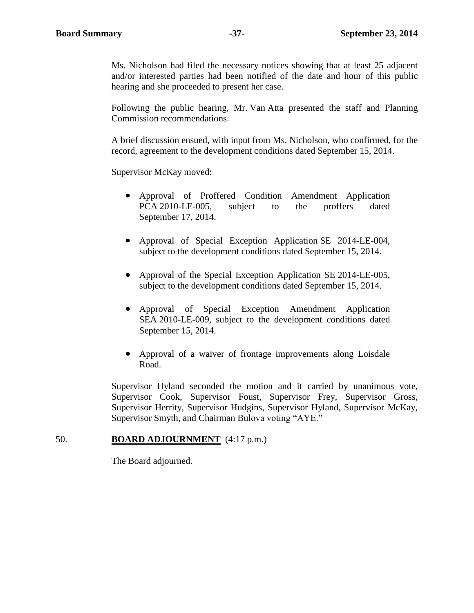Ms. Nicholson had filed the necessary notices showing that at least 25 adjacent and/or interested parties had been notified of the date and hour of this public hearing and she proceeded to present her case.

Following the public hearing, Mr. Van Atta presented the staff and Planning Commission recommendations.

A brief discussion ensued, with input from Ms. Nicholson, who confirmed, for the record, agreement to the development conditions dated September 15, 2014.

Supervisor McKay moved:

- Approval of Proffered Condition Amendment Application PCA 2010-LE-005, subject to the proffers dated September 17, 2014.
- Approval of Special Exception Application SE 2014-LE-004, subject to the development conditions dated September 15, 2014.
- Approval of the Special Exception Application SE 2014-LE-005, subject to the development conditions dated September 15, 2014.
- Approval of Special Exception Amendment Application SEA 2010-LE-009, subject to the development conditions dated September 15, 2014.
- Approval of a waiver of frontage improvements along Loisdale Road.

Supervisor Hyland seconded the motion and it carried by unanimous vote, Supervisor Cook, Supervisor Foust, Supervisor Frey, Supervisor Gross, Supervisor Herrity, Supervisor Hudgins, Supervisor Hyland, Supervisor McKay, Supervisor Smyth, and Chairman Bulova voting "AYE."

#### 50. **BOARD ADJOURNMENT** (4:17 p.m.)

The Board adjourned.